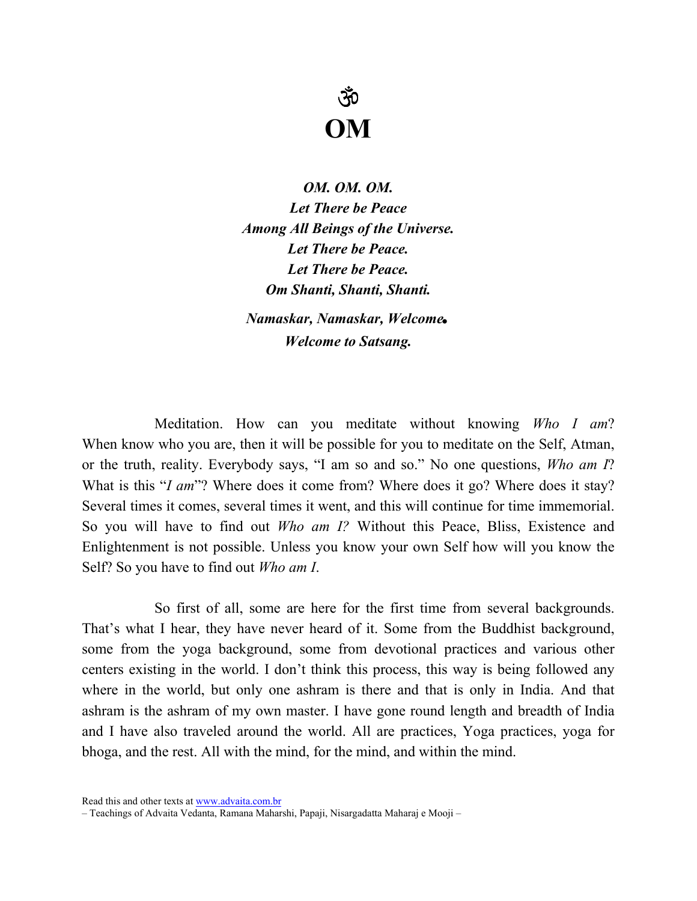## ŠÓ OM

OM. OM. OM. Let There be Peace Among All Beings of the Universe. Let There be Peace. Let There be Peace. Om Shanti, Shanti, Shanti.

Namaskar, Namaskar, Welcome. Welcome to Satsang.

Meditation. How can you meditate without knowing Who I am? When know who you are, then it will be possible for you to meditate on the Self, Atman, or the truth, reality. Everybody says, "I am so and so." No one questions, Who am I? What is this "I am"? Where does it come from? Where does it go? Where does it stay? Several times it comes, several times it went, and this will continue for time immemorial. So you will have to find out *Who am I*? Without this Peace, Bliss, Existence and Enlightenment is not possible. Unless you know your own Self how will you know the Self? So you have to find out *Who am I*.

So first of all, some are here for the first time from several backgrounds. That's what I hear, they have never heard of it. Some from the Buddhist background, some from the yoga background, some from devotional practices and various other centers existing in the world. I don't think this process, this way is being followed any where in the world, but only one ashram is there and that is only in India. And that ashram is the ashram of my own master. I have gone round length and breadth of India and I have also traveled around the world. All are practices, Yoga practices, yoga for bhoga, and the rest. All with the mind, for the mind, and within the mind.

Read this and other texts at www.advaita.com.br

<sup>–</sup> Teachings of Advaita Vedanta, Ramana Maharshi, Papaji, Nisargadatta Maharaj e Mooji –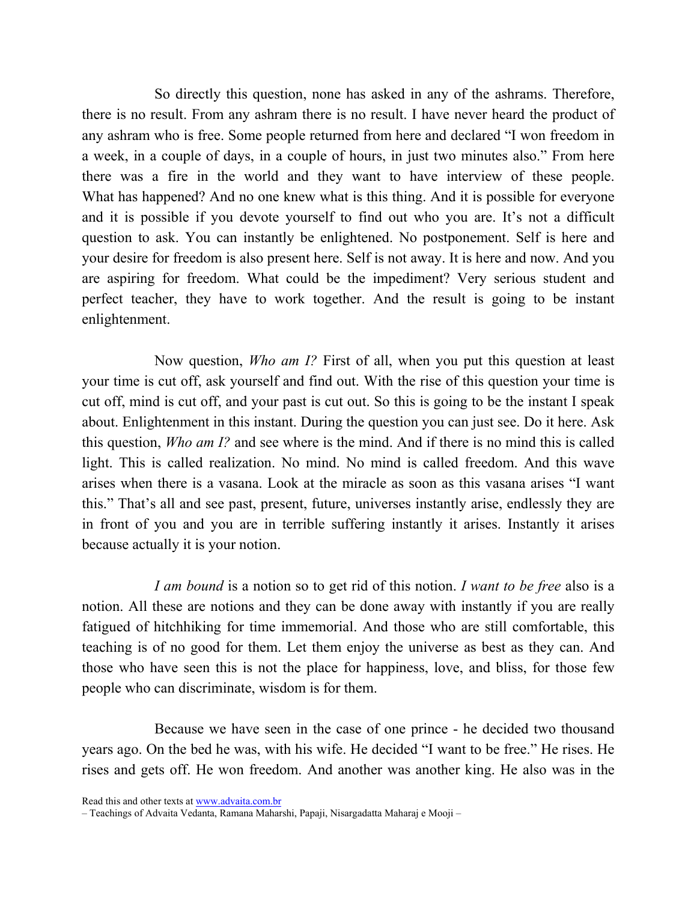So directly this question, none has asked in any of the ashrams. Therefore, there is no result. From any ashram there is no result. I have never heard the product of any ashram who is free. Some people returned from here and declared "I won freedom in a week, in a couple of days, in a couple of hours, in just two minutes also." From here there was a fire in the world and they want to have interview of these people. What has happened? And no one knew what is this thing. And it is possible for everyone and it is possible if you devote yourself to find out who you are. It's not a difficult question to ask. You can instantly be enlightened. No postponement. Self is here and your desire for freedom is also present here. Self is not away. It is here and now. And you are aspiring for freedom. What could be the impediment? Very serious student and perfect teacher, they have to work together. And the result is going to be instant enlightenment.

Now question, Who am I? First of all, when you put this question at least your time is cut off, ask yourself and find out. With the rise of this question your time is cut off, mind is cut off, and your past is cut out. So this is going to be the instant I speak about. Enlightenment in this instant. During the question you can just see. Do it here. Ask this question, Who am I? and see where is the mind. And if there is no mind this is called light. This is called realization. No mind. No mind is called freedom. And this wave arises when there is a vasana. Look at the miracle as soon as this vasana arises "I want this." That's all and see past, present, future, universes instantly arise, endlessly they are in front of you and you are in terrible suffering instantly it arises. Instantly it arises because actually it is your notion.

I am bound is a notion so to get rid of this notion. I want to be free also is a notion. All these are notions and they can be done away with instantly if you are really fatigued of hitchhiking for time immemorial. And those who are still comfortable, this teaching is of no good for them. Let them enjoy the universe as best as they can. And those who have seen this is not the place for happiness, love, and bliss, for those few people who can discriminate, wisdom is for them.

Because we have seen in the case of one prince - he decided two thousand years ago. On the bed he was, with his wife. He decided "I want to be free." He rises. He rises and gets off. He won freedom. And another was another king. He also was in the

Read this and other texts at www.advaita.com.br

<sup>–</sup> Teachings of Advaita Vedanta, Ramana Maharshi, Papaji, Nisargadatta Maharaj e Mooji –